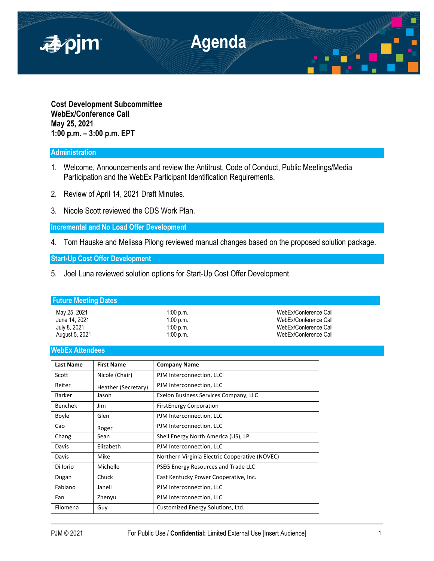

**Cost Development Subcommittee WebEx/Conference Call May 25, 2021 1:00 p.m. – 3:00 p.m. EPT**

## **Administration**

- 1. Welcome, Announcements and review the Antitrust, Code of Conduct, Public Meetings/Media Participation and the WebEx Participant Identification Requirements.
- 2. Review of April 14, 2021 Draft Minutes.
- 3. Nicole Scott reviewed the CDS Work Plan.

**Incremental and No Load Offer Development**

4. Tom Hauske and Melissa Pilong reviewed manual changes based on the proposed solution package.

**Start-Up Cost Offer Development**

5. Joel Luna reviewed solution options for Start-Up Cost Offer Development.

## **Future Meeting Dates**

| May 25, 2021   | $1:00$ p.m. | WebEx/Conference Call |
|----------------|-------------|-----------------------|
| June 14, 2021  | $1:00$ p.m. | WebEx/Conference Call |
| July 8, 2021   | $1:00$ p.m. | WebEx/Conference Call |
| August 5, 2021 | $1:00$ p.m. | WebEx/Conference Call |

## **WebEx Attendees**

| <b>Last Name</b> | <b>First Name</b>   | <b>Company Name</b>                            |
|------------------|---------------------|------------------------------------------------|
| Scott            | Nicole (Chair)      | PJM Interconnection, LLC                       |
| Reiter           | Heather (Secretary) | PJM Interconnection, LLC                       |
| <b>Barker</b>    | Jason               | Exelon Business Services Company, LLC          |
| <b>Benchek</b>   | Jim                 | <b>FirstEnergy Corporation</b>                 |
| <b>Boyle</b>     | Glen                | PJM Interconnection, LLC                       |
| Cao              | Roger               | PJM Interconnection, LLC                       |
| Chang            | Sean                | Shell Energy North America (US), LP            |
| Davis            | Elizabeth           | PJM Interconnection, LLC                       |
| Davis            | Mike                | Northern Virginia Electric Cooperative (NOVEC) |
| Di Iorio         | Michelle            | PSEG Energy Resources and Trade LLC            |
| Dugan            | Chuck               | East Kentucky Power Cooperative, Inc.          |
| Fabiano          | Janell              | PJM Interconnection, LLC                       |
| Fan              | Zhenyu              | PJM Interconnection, LLC                       |
| Filomena         | Guy                 | Customized Energy Solutions, Ltd.              |